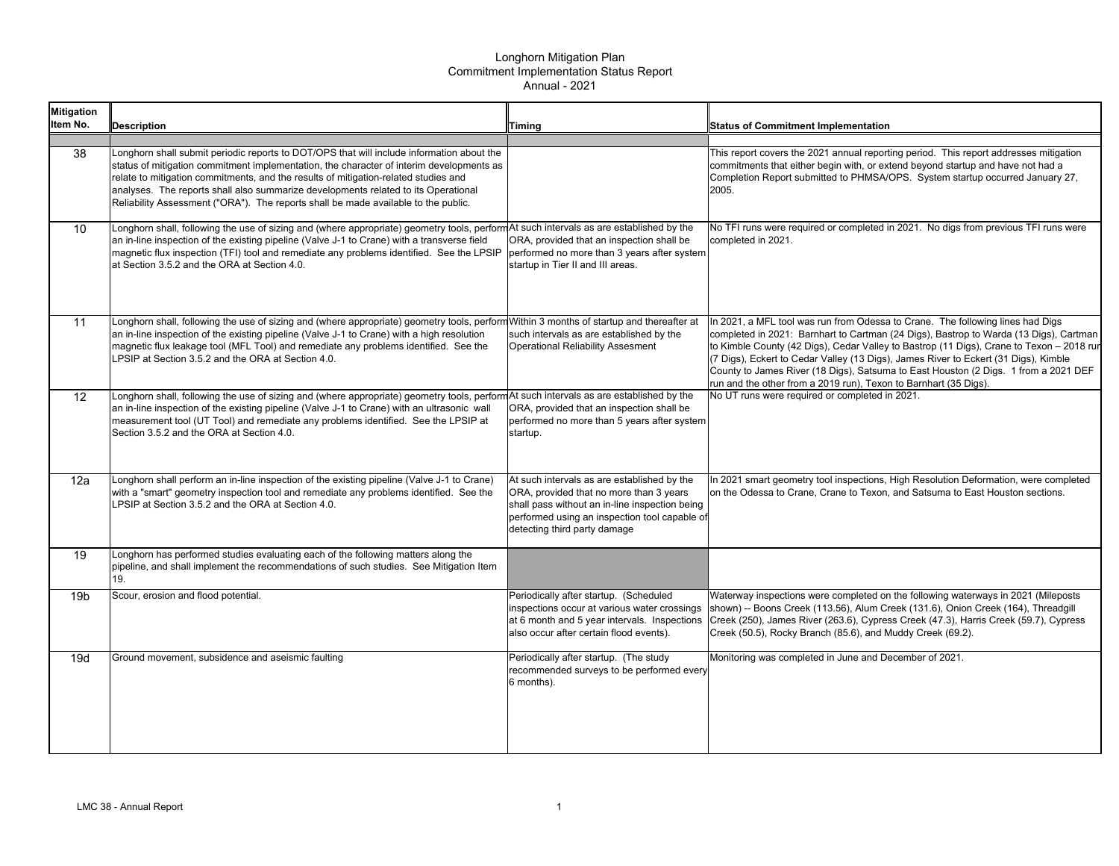| <b>Mitigation</b><br>Item No. | <b>Description</b>                                                                                                                                                                                                                                                                                                                                                                                                                                       | <b>Timing</b>                                                                                                                                                                                                             | <b>Status of Commitment Implementation</b>                                                                                                                                                                                                                                                                                                                                                                                                                                                                            |
|-------------------------------|----------------------------------------------------------------------------------------------------------------------------------------------------------------------------------------------------------------------------------------------------------------------------------------------------------------------------------------------------------------------------------------------------------------------------------------------------------|---------------------------------------------------------------------------------------------------------------------------------------------------------------------------------------------------------------------------|-----------------------------------------------------------------------------------------------------------------------------------------------------------------------------------------------------------------------------------------------------------------------------------------------------------------------------------------------------------------------------------------------------------------------------------------------------------------------------------------------------------------------|
| 38                            | Longhorn shall submit periodic reports to DOT/OPS that will include information about the<br>status of mitigation commitment implementation, the character of interim developments as<br>relate to mitigation commitments, and the results of mitigation-related studies and<br>analyses. The reports shall also summarize developments related to its Operational<br>Reliability Assessment ("ORA"). The reports shall be made available to the public. |                                                                                                                                                                                                                           | This report covers the 2021 annual reporting period. This report addresses mitigation<br>commitments that either begin with, or extend beyond startup and have not had a<br>Completion Report submitted to PHMSA/OPS. System startup occurred January 27,<br>2005.                                                                                                                                                                                                                                                    |
| 10                            | Longhorn shall, following the use of sizing and (where appropriate) geometry tools, perform At such intervals as are established by the<br>an in-line inspection of the existing pipeline (Valve J-1 to Crane) with a transverse field<br>magnetic flux inspection (TFI) tool and remediate any problems identified. See the LPSIP<br>at Section 3.5.2 and the ORA at Section 4.0.                                                                       | ORA, provided that an inspection shall be<br>performed no more than 3 years after system<br>startup in Tier II and III areas.                                                                                             | No TFI runs were required or completed in 2021. No digs from previous TFI runs were<br>completed in 2021.                                                                                                                                                                                                                                                                                                                                                                                                             |
| 11                            | Longhorn shall, following the use of sizing and (where appropriate) geometry tools, perform Within 3 months of startup and thereafter at<br>an in-line inspection of the existing pipeline (Valve J-1 to Crane) with a high resolution<br>magnetic flux leakage tool (MFL Tool) and remediate any problems identified. See the<br>LPSIP at Section 3.5.2 and the ORA at Section 4.0.                                                                     | such intervals as are established by the<br><b>Operational Reliability Assesment</b>                                                                                                                                      | In 2021, a MFL tool was run from Odessa to Crane. The following lines had Digs<br>completed in 2021: Barnhart to Cartman (24 Digs), Bastrop to Warda (13 Digs), Cartman<br>to Kimble County (42 Digs), Cedar Valley to Bastrop (11 Digs), Crane to Texon - 2018 run<br>(7 Digs), Eckert to Cedar Valley (13 Digs), James River to Eckert (31 Digs), Kimble<br>County to James River (18 Digs), Satsuma to East Houston (2 Digs. 1 from a 2021 DEF<br>run and the other from a 2019 run), Texon to Barnhart (35 Digs). |
| 12                            | Longhorn shall, following the use of sizing and (where appropriate) geometry tools, perform At such intervals as are established by the<br>an in-line inspection of the existing pipeline (Valve J-1 to Crane) with an ultrasonic wall<br>measurement tool (UT Tool) and remediate any problems identified. See the LPSIP at<br>Section 3.5.2 and the ORA at Section 4.0.                                                                                | ORA, provided that an inspection shall be<br>performed no more than 5 years after system<br>startup.                                                                                                                      | No UT runs were required or completed in 2021.                                                                                                                                                                                                                                                                                                                                                                                                                                                                        |
| 12a                           | Longhorn shall perform an in-line inspection of the existing pipeline (Valve J-1 to Crane)<br>with a "smart" geometry inspection tool and remediate any problems identified. See the<br>LPSIP at Section 3.5.2 and the ORA at Section 4.0.                                                                                                                                                                                                               | At such intervals as are established by the<br>ORA, provided that no more than 3 years<br>shall pass without an in-line inspection being<br>performed using an inspection tool capable of<br>detecting third party damage | In 2021 smart geometry tool inspections, High Resolution Deformation, were completed<br>on the Odessa to Crane, Crane to Texon, and Satsuma to East Houston sections.                                                                                                                                                                                                                                                                                                                                                 |
| 19                            | Longhorn has performed studies evaluating each of the following matters along the<br>pipeline, and shall implement the recommendations of such studies. See Mitigation Item<br>19.                                                                                                                                                                                                                                                                       |                                                                                                                                                                                                                           |                                                                                                                                                                                                                                                                                                                                                                                                                                                                                                                       |
| 19 <sub>b</sub>               | Scour, erosion and flood potential.                                                                                                                                                                                                                                                                                                                                                                                                                      | Periodically after startup. (Scheduled<br>inspections occur at various water crossings<br>at 6 month and 5 year intervals. Inspections<br>also occur after certain flood events).                                         | Waterway inspections were completed on the following waterways in 2021 (Mileposts)<br>shown) -- Boons Creek (113.56), Alum Creek (131.6), Onion Creek (164), Threadgill<br>Creek (250), James River (263.6), Cypress Creek (47.3), Harris Creek (59.7), Cypress<br>Creek (50.5), Rocky Branch (85.6), and Muddy Creek (69.2).                                                                                                                                                                                         |
| 19d                           | Ground movement, subsidence and aseismic faulting                                                                                                                                                                                                                                                                                                                                                                                                        | Periodically after startup. (The study<br>recommended surveys to be performed every<br>6 months).                                                                                                                         | Monitoring was completed in June and December of 2021.                                                                                                                                                                                                                                                                                                                                                                                                                                                                |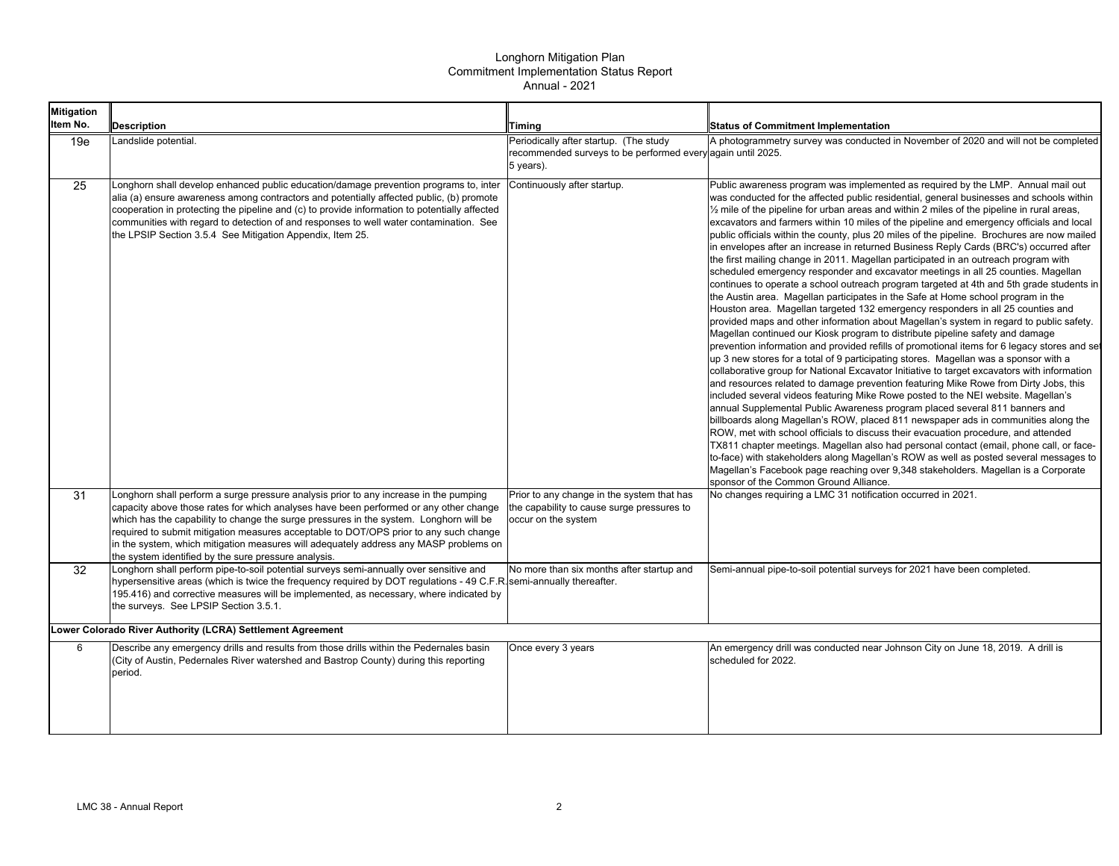| <b>Mitigation</b><br>Item No. | <b>Description</b>                                                                                                                                                                                                                                                                                                                                                                                                                                                                                                 | <b>Timing</b>                                                                                                      | <b>Status of Commitment Implementation</b>                                                                                                                                                                                                                                                                                                                                                                                                                                                                                                                                                                                                                                                                                                                                                                                                                                                                                                                                                                                                                                                                                                                                                                                                                                                                                                                                                                                                                                                                                                                                                                                                                                                                                                                                                                                                                                                                                                                                                                                                                                                                                                                                                                                                               |
|-------------------------------|--------------------------------------------------------------------------------------------------------------------------------------------------------------------------------------------------------------------------------------------------------------------------------------------------------------------------------------------------------------------------------------------------------------------------------------------------------------------------------------------------------------------|--------------------------------------------------------------------------------------------------------------------|----------------------------------------------------------------------------------------------------------------------------------------------------------------------------------------------------------------------------------------------------------------------------------------------------------------------------------------------------------------------------------------------------------------------------------------------------------------------------------------------------------------------------------------------------------------------------------------------------------------------------------------------------------------------------------------------------------------------------------------------------------------------------------------------------------------------------------------------------------------------------------------------------------------------------------------------------------------------------------------------------------------------------------------------------------------------------------------------------------------------------------------------------------------------------------------------------------------------------------------------------------------------------------------------------------------------------------------------------------------------------------------------------------------------------------------------------------------------------------------------------------------------------------------------------------------------------------------------------------------------------------------------------------------------------------------------------------------------------------------------------------------------------------------------------------------------------------------------------------------------------------------------------------------------------------------------------------------------------------------------------------------------------------------------------------------------------------------------------------------------------------------------------------------------------------------------------------------------------------------------------------|
| 19e                           | Landslide potential.                                                                                                                                                                                                                                                                                                                                                                                                                                                                                               | Periodically after startup. (The study<br>recommended surveys to be performed every again until 2025.<br>5 years). | A photogrammetry survey was conducted in November of 2020 and will not be completed                                                                                                                                                                                                                                                                                                                                                                                                                                                                                                                                                                                                                                                                                                                                                                                                                                                                                                                                                                                                                                                                                                                                                                                                                                                                                                                                                                                                                                                                                                                                                                                                                                                                                                                                                                                                                                                                                                                                                                                                                                                                                                                                                                      |
| 25                            | Longhorn shall develop enhanced public education/damage prevention programs to, inter<br>alia (a) ensure awareness among contractors and potentially affected public, (b) promote<br>cooperation in protecting the pipeline and (c) to provide information to potentially affected<br>communities with regard to detection of and responses to well water contamination. See<br>the LPSIP Section 3.5.4 See Mitigation Appendix, Item 25.                                                                          | Continuously after startup.                                                                                        | Public awareness program was implemented as required by the LMP. Annual mail out<br>was conducted for the affected public residential, general businesses and schools within<br>$\frac{1}{2}$ mile of the pipeline for urban areas and within 2 miles of the pipeline in rural areas,<br>excavators and farmers within 10 miles of the pipeline and emergency officials and local<br>public officials within the county, plus 20 miles of the pipeline. Brochures are now mailed<br>in envelopes after an increase in returned Business Reply Cards (BRC's) occurred after<br>the first mailing change in 2011. Magellan participated in an outreach program with<br>scheduled emergency responder and excavator meetings in all 25 counties. Magellan<br>continues to operate a school outreach program targeted at 4th and 5th grade students in<br>the Austin area. Magellan participates in the Safe at Home school program in the<br>Houston area. Magellan targeted 132 emergency responders in all 25 counties and<br>provided maps and other information about Magellan's system in regard to public safety.<br>Magellan continued our Kiosk program to distribute pipeline safety and damage<br>prevention information and provided refills of promotional items for 6 legacy stores and set<br>up 3 new stores for a total of 9 participating stores. Magellan was a sponsor with a<br>collaborative group for National Excavator Initiative to target excavators with information<br>and resources related to damage prevention featuring Mike Rowe from Dirty Jobs, this<br>included several videos featuring Mike Rowe posted to the NEI website. Magellan's<br>annual Supplemental Public Awareness program placed several 811 banners and<br>billboards along Magellan's ROW, placed 811 newspaper ads in communities along the<br>ROW, met with school officials to discuss their evacuation procedure, and attended<br>TX811 chapter meetings. Magellan also had personal contact (email, phone call, or face-<br>to-face) with stakeholders along Magellan's ROW as well as posted several messages to<br>Magellan's Facebook page reaching over 9,348 stakeholders. Magellan is a Corporate<br>sponsor of the Common Ground Alliance. |
| 31                            | Longhorn shall perform a surge pressure analysis prior to any increase in the pumping<br>capacity above those rates for which analyses have been performed or any other change<br>which has the capability to change the surge pressures in the system. Longhorn will be<br>required to submit mitigation measures acceptable to DOT/OPS prior to any such change<br>in the system, which mitigation measures will adequately address any MASP problems on<br>the system identified by the sure pressure analysis. | Prior to any change in the system that has<br>the capability to cause surge pressures to<br>occur on the system    | No changes requiring a LMC 31 notification occurred in 2021.                                                                                                                                                                                                                                                                                                                                                                                                                                                                                                                                                                                                                                                                                                                                                                                                                                                                                                                                                                                                                                                                                                                                                                                                                                                                                                                                                                                                                                                                                                                                                                                                                                                                                                                                                                                                                                                                                                                                                                                                                                                                                                                                                                                             |
| 32                            | Longhorn shall perform pipe-to-soil potential surveys semi-annually over sensitive and<br>hypersensitive areas (which is twice the frequency required by DOT regulations - 49 C.F.R. semi-annually thereafter.<br>195.416) and corrective measures will be implemented, as necessary, where indicated by<br>the surveys. See LPSIP Section 3.5.1.                                                                                                                                                                  | No more than six months after startup and                                                                          | Semi-annual pipe-to-soil potential surveys for 2021 have been completed.                                                                                                                                                                                                                                                                                                                                                                                                                                                                                                                                                                                                                                                                                                                                                                                                                                                                                                                                                                                                                                                                                                                                                                                                                                                                                                                                                                                                                                                                                                                                                                                                                                                                                                                                                                                                                                                                                                                                                                                                                                                                                                                                                                                 |
|                               | Lower Colorado River Authority (LCRA) Settlement Agreement                                                                                                                                                                                                                                                                                                                                                                                                                                                         |                                                                                                                    |                                                                                                                                                                                                                                                                                                                                                                                                                                                                                                                                                                                                                                                                                                                                                                                                                                                                                                                                                                                                                                                                                                                                                                                                                                                                                                                                                                                                                                                                                                                                                                                                                                                                                                                                                                                                                                                                                                                                                                                                                                                                                                                                                                                                                                                          |
| 6                             | Describe any emergency drills and results from those drills within the Pedernales basin<br>(City of Austin, Pedernales River watershed and Bastrop County) during this reporting<br>period.                                                                                                                                                                                                                                                                                                                        | Once every 3 years                                                                                                 | An emergency drill was conducted near Johnson City on June 18, 2019. A drill is<br>scheduled for 2022.                                                                                                                                                                                                                                                                                                                                                                                                                                                                                                                                                                                                                                                                                                                                                                                                                                                                                                                                                                                                                                                                                                                                                                                                                                                                                                                                                                                                                                                                                                                                                                                                                                                                                                                                                                                                                                                                                                                                                                                                                                                                                                                                                   |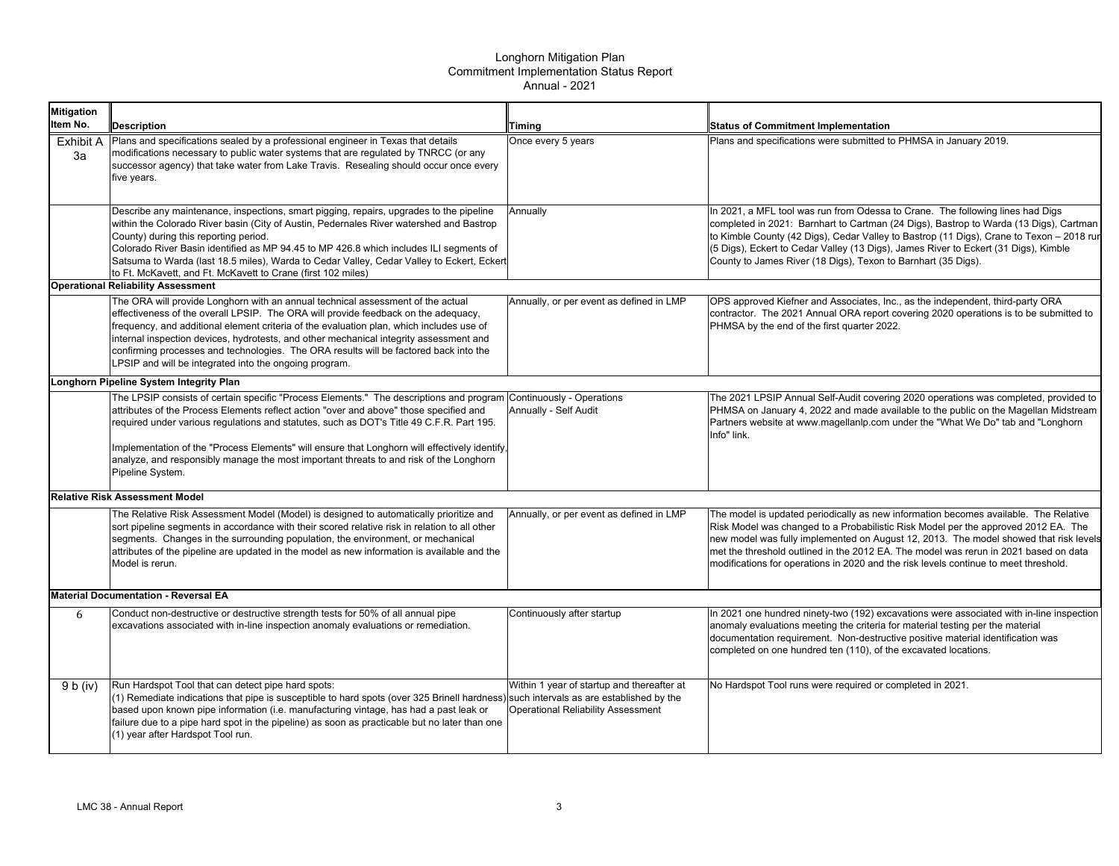| <b>Mitigation</b>                           |                                                                                                                                                                                                                                                                                                                                                                                                                                                                                                                |                                                                                                                                     |                                                                                                                                                                                                                                                                                                                                                                                                                                                     |  |
|---------------------------------------------|----------------------------------------------------------------------------------------------------------------------------------------------------------------------------------------------------------------------------------------------------------------------------------------------------------------------------------------------------------------------------------------------------------------------------------------------------------------------------------------------------------------|-------------------------------------------------------------------------------------------------------------------------------------|-----------------------------------------------------------------------------------------------------------------------------------------------------------------------------------------------------------------------------------------------------------------------------------------------------------------------------------------------------------------------------------------------------------------------------------------------------|--|
| Item No.                                    | <b>Description</b>                                                                                                                                                                                                                                                                                                                                                                                                                                                                                             | Timing                                                                                                                              | <b>Status of Commitment Implementation</b>                                                                                                                                                                                                                                                                                                                                                                                                          |  |
| Exhibit A<br>За                             | Plans and specifications sealed by a professional engineer in Texas that details<br>modifications necessary to public water systems that are regulated by TNRCC (or any<br>successor agency) that take water from Lake Travis. Resealing should occur once every<br>five years.                                                                                                                                                                                                                                | Once every 5 years                                                                                                                  | Plans and specifications were submitted to PHMSA in January 2019.                                                                                                                                                                                                                                                                                                                                                                                   |  |
|                                             | Describe any maintenance, inspections, smart pigging, repairs, upgrades to the pipeline<br>within the Colorado River basin (City of Austin, Pedernales River watershed and Bastrop<br>County) during this reporting period.<br>Colorado River Basin identified as MP 94.45 to MP 426.8 which includes ILI segments of<br>Satsuma to Warda (last 18.5 miles), Warda to Cedar Valley, Cedar Valley to Eckert, Eckert<br>to Ft. McKavett, and Ft. McKavett to Crane (first 102 miles)                             | Annuallv                                                                                                                            | In 2021, a MFL tool was run from Odessa to Crane. The following lines had Digs<br>completed in 2021: Barnhart to Cartman (24 Digs), Bastrop to Warda (13 Digs), Cartman<br>to Kimble County (42 Digs), Cedar Valley to Bastrop (11 Digs), Crane to Texon - 2018 run<br>(5 Digs), Eckert to Cedar Valley (13 Digs), James River to Eckert (31 Digs), Kimble<br>County to James River (18 Digs), Texon to Barnhart (35 Digs).                         |  |
|                                             | <b>Operational Reliability Assessment</b>                                                                                                                                                                                                                                                                                                                                                                                                                                                                      |                                                                                                                                     |                                                                                                                                                                                                                                                                                                                                                                                                                                                     |  |
|                                             | The ORA will provide Longhorn with an annual technical assessment of the actual<br>effectiveness of the overall LPSIP. The ORA will provide feedback on the adequacy,<br>frequency, and additional element criteria of the evaluation plan, which includes use of<br>internal inspection devices, hydrotests, and other mechanical integrity assessment and<br>confirming processes and technologies. The ORA results will be factored back into the<br>LPSIP and will be integrated into the ongoing program. | Annually, or per event as defined in LMP                                                                                            | OPS approved Kiefner and Associates, Inc., as the independent, third-party ORA<br>contractor. The 2021 Annual ORA report covering 2020 operations is to be submitted to<br>PHMSA by the end of the first quarter 2022.                                                                                                                                                                                                                              |  |
|                                             | Longhorn Pipeline System Integrity Plan                                                                                                                                                                                                                                                                                                                                                                                                                                                                        |                                                                                                                                     |                                                                                                                                                                                                                                                                                                                                                                                                                                                     |  |
|                                             | The LPSIP consists of certain specific "Process Elements." The descriptions and program<br>attributes of the Process Elements reflect action "over and above" those specified and<br>required under various requlations and statutes, such as DOT's Title 49 C.F.R. Part 195.<br>mplementation of the "Process Elements" will ensure that Longhorn will effectively identify,<br>analyze, and responsibly manage the most important threats to and risk of the Longhorn                                        | Continuously - Operations<br>Annually - Self Audit                                                                                  | The 2021 LPSIP Annual Self-Audit covering 2020 operations was completed, provided to<br>PHMSA on January 4, 2022 and made available to the public on the Magellan Midstream<br>Partners website at www.magellanlp.com under the "What We Do" tab and "Longhorn"<br>Info" link.                                                                                                                                                                      |  |
|                                             | Pipeline System.                                                                                                                                                                                                                                                                                                                                                                                                                                                                                               |                                                                                                                                     |                                                                                                                                                                                                                                                                                                                                                                                                                                                     |  |
|                                             | <b>Relative Risk Assessment Model</b>                                                                                                                                                                                                                                                                                                                                                                                                                                                                          |                                                                                                                                     |                                                                                                                                                                                                                                                                                                                                                                                                                                                     |  |
|                                             | The Relative Risk Assessment Model (Model) is designed to automatically prioritize and<br>sort pipeline segments in accordance with their scored relative risk in relation to all other<br>segments. Changes in the surrounding population, the environment, or mechanical<br>attributes of the pipeline are updated in the model as new information is available and the<br>Model is rerun.                                                                                                                   | Annually, or per event as defined in LMP                                                                                            | The model is updated periodically as new information becomes available. The Relative<br>Risk Model was changed to a Probabilistic Risk Model per the approved 2012 EA. The<br>new model was fully implemented on August 12, 2013. The model showed that risk levels<br>met the threshold outlined in the 2012 EA. The model was rerun in 2021 based on data<br>modifications for operations in 2020 and the risk levels continue to meet threshold. |  |
| <b>Material Documentation - Reversal EA</b> |                                                                                                                                                                                                                                                                                                                                                                                                                                                                                                                |                                                                                                                                     |                                                                                                                                                                                                                                                                                                                                                                                                                                                     |  |
| 6                                           | Conduct non-destructive or destructive strength tests for 50% of all annual pipe<br>excavations associated with in-line inspection anomaly evaluations or remediation.                                                                                                                                                                                                                                                                                                                                         | Continuously after startup                                                                                                          | In 2021 one hundred ninety-two (192) excavations were associated with in-line inspection<br>anomaly evaluations meeting the criteria for material testing per the material<br>documentation requirement. Non-destructive positive material identification was<br>completed on one hundred ten (110), of the excavated locations.                                                                                                                    |  |
| 9 b (iv)                                    | Run Hardspot Tool that can detect pipe hard spots:<br>(1) Remediate indications that pipe is susceptible to hard spots (over 325 Brinell hardness)<br>based upon known pipe information (i.e. manufacturing vintage, has had a past leak or<br>failure due to a pipe hard spot in the pipeline) as soon as practicable but no later than one<br>(1) year after Hardspot Tool run.                                                                                                                              | Within 1 year of startup and thereafter at<br>such intervals as are established by the<br><b>Operational Reliability Assessment</b> | No Hardspot Tool runs were required or completed in 2021.                                                                                                                                                                                                                                                                                                                                                                                           |  |